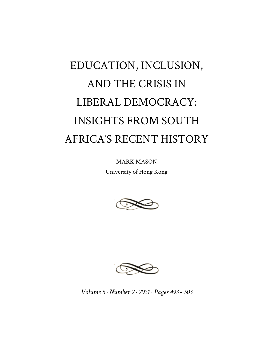## EDUCATION, INCLUSION, AND THE CRISIS IN LIBERAL DEMOCRACY: INSIGHTS FROM SOUTH AFRICA'S RECENT HISTORY

MARK MASON University of Hong Kong





*Volume 5 · Number 2 · 2021 · Pages 493 - 503*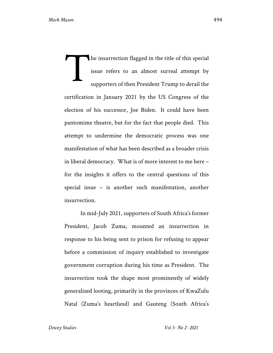he insurrection flagged in the title of this special issue refers to an almost surreal attempt by supporters of then President Trump to derail the certification in January 2021 by the US Congress of the election of his successor, Joe Biden. It could have been pantomime theatre, but for the fact that people died. This attempt to undermine the democratic process was one manifestation of what has been described as a broader crisis in liberal democracy. What is of more interest to me here – for the insights it offers to the central questions of this special issue – is another such manifestation, another insurrection. T

In mid-July 2021, supporters of South Africa's former President, Jacob Zuma, mounted an insurrection in response to his being sent to prison for refusing to appear before a commission of inquiry established to investigate government corruption during his time as President. The insurrection took the shape most prominently of widely generalized looting, primarily in the provinces of KwaZulu Natal (Zuma's heartland) and Gauteng (South Africa's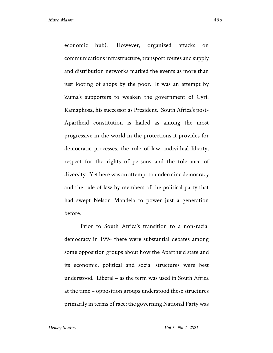economic hub). However, organized attacks on communications infrastructure, transport routes and supply and distribution networks marked the events as more than just looting of shops by the poor. It was an attempt by Zuma's supporters to weaken the government of Cyril Ramaphosa, his successor as President. South Africa's post-Apartheid constitution is hailed as among the most progressive in the world in the protections it provides for democratic processes, the rule of law, individual liberty, respect for the rights of persons and the tolerance of diversity. Yet here was an attempt to undermine democracy and the rule of law by members of the political party that had swept Nelson Mandela to power just a generation before.

Prior to South Africa's transition to a non-racial democracy in 1994 there were substantial debates among some opposition groups about how the Apartheid state and its economic, political and social structures were best understood. Liberal – as the term was used in South Africa at the time – opposition groups understood these structures primarily in terms of race: the governing National Party was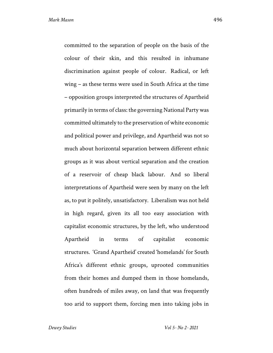committed to the separation of people on the basis of the colour of their skin, and this resulted in inhumane discrimination against people of colour. Radical, or left wing – as these terms were used in South Africa at the time – opposition groups interpreted the structures of Apartheid primarily in terms of class: the governing National Party was committed ultimately to the preservation of white economic and political power and privilege, and Apartheid was not so much about horizontal separation between different ethnic groups as it was about vertical separation and the creation of a reservoir of cheap black labour. And so liberal interpretations of Apartheid were seen by many on the left as, to put it politely, unsatisfactory. Liberalism was not held in high regard, given its all too easy association with capitalist economic structures, by the left, who understood Apartheid in terms of capitalist economic structures. 'Grand Apartheid' created 'homelands' for South Africa's different ethnic groups, uprooted communities from their homes and dumped them in those homelands, often hundreds of miles away, on land that was frequently too arid to support them, forcing men into taking jobs in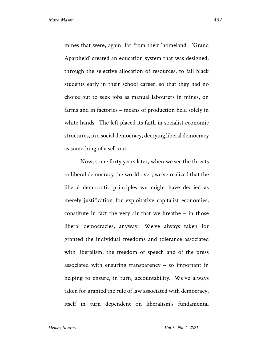mines that were, again, far from their 'homeland'. 'Grand Apartheid' created an education system that was designed, through the selective allocation of resources, to fail black students early in their school career, so that they had no choice but to seek jobs as manual labourers in mines, on farms and in factories – means of production held solely in white hands. The left placed its faith in socialist economic structures, in a social democracy, decrying liberal democracy as something of a sell-out.

Now, some forty years later, when we see the threats to liberal democracy the world over, we've realized that the liberal democratic principles we might have decried as merely justification for exploitative capitalist economies, constitute in fact the very air that we breathe – in those liberal democracies, anyway. We've always taken for granted the individual freedoms and tolerance associated with liberalism, the freedom of speech and of the press associated with ensuring transparency – so important in helping to ensure, in turn, accountability. We've always taken for granted the rule of law associated with democracy, itself in turn dependent on liberalism's fundamental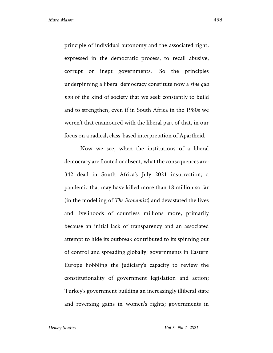principle of individual autonomy and the associated right, expressed in the democratic process, to recall abusive, corrupt or inept governments. So the principles underpinning a liberal democracy constitute now a *sine qua non* of the kind of society that we seek constantly to build and to strengthen, even if in South Africa in the 1980s we weren't that enamoured with the liberal part of that, in our focus on a radical, class-based interpretation of Apartheid.

Now we see, when the institutions of a liberal democracy are flouted or absent, what the consequences are: 342 dead in South Africa's July 2021 insurrection; a pandemic that may have killed more than 18 million so far (in the modelling of *The Economist*) and devastated the lives and livelihoods of countless millions more, primarily because an initial lack of transparency and an associated attempt to hide its outbreak contributed to its spinning out of control and spreading globally; governments in Eastern Europe hobbling the judiciary's capacity to review the constitutionality of government legislation and action; Turkey's government building an increasingly illiberal state and reversing gains in women's rights; governments in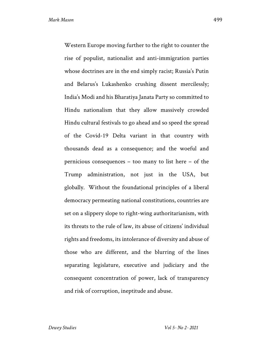Western Europe moving further to the right to counter the rise of populist, nationalist and anti-immigration parties whose doctrines are in the end simply racist; Russia's Putin and Belarus's Lukashenko crushing dissent mercilessly; India's Modi and his Bharatiya Janata Party so committed to Hindu nationalism that they allow massively crowded Hindu cultural festivals to go ahead and so speed the spread of the Covid-19 Delta variant in that country with thousands dead as a consequence; and the woeful and pernicious consequences – too many to list here – of the Trump administration, not just in the USA, but globally. Without the foundational principles of a liberal democracy permeating national constitutions, countries are set on a slippery slope to right-wing authoritarianism, with its threats to the rule of law, its abuse of citizens' individual rights and freedoms, its intolerance of diversity and abuse of those who are different, and the blurring of the lines separating legislature, executive and judiciary and the consequent concentration of power, lack of transparency and risk of corruption, ineptitude and abuse.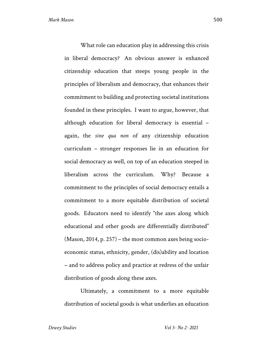What role can education play in addressing this crisis in liberal democracy? An obvious answer is enhanced citizenship education that steeps young people in the principles of liberalism and democracy, that enhances their commitment to building and protecting societal institutions founded in these principles. I want to argue, however, that although education for liberal democracy is essential – again, the *sine qua non* of any citizenship education curriculum – stronger responses lie in an education for social democracy as well, on top of an education steeped in liberalism across the curriculum. Why? Because a commitment to the principles of social democracy entails a commitment to a more equitable distribution of societal goods. Educators need to identify "the axes along which educational and other goods are differentially distributed" (Mason, 2014, p. 257) – the most common axes being socioeconomic status, ethnicity, gender, (dis)ability and location – and to address policy and practice at redress of the unfair distribution of goods along these axes.

Ultimately, a commitment to a more equitable distribution of societal goods is what underlies an education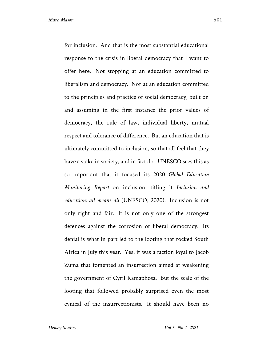for inclusion. And that is the most substantial educational response to the crisis in liberal democracy that I want to offer here. Not stopping at an education committed to liberalism and democracy. Nor at an education committed to the principles and practice of social democracy, built on and assuming in the first instance the prior values of democracy, the rule of law, individual liberty, mutual respect and tolerance of difference. But an education that is ultimately committed to inclusion, so that all feel that they have a stake in society, and in fact do. UNESCO sees this as so important that it focused its 2020 *Global Education Monitoring Report* on inclusion, titling it *Inclusion and education: all means all* (UNESCO, 2020). Inclusion is not only right and fair. It is not only one of the strongest defences against the corrosion of liberal democracy. Its denial is what in part led to the looting that rocked South Africa in July this year. Yes, it was a faction loyal to Jacob Zuma that fomented an insurrection aimed at weakening the government of Cyril Ramaphosa. But the scale of the looting that followed probably surprised even the most

cynical of the insurrectionists. It should have been no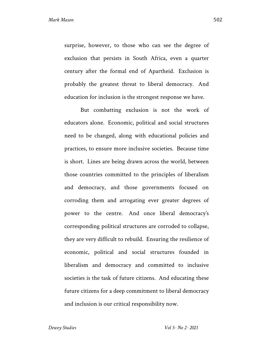surprise, however, to those who can see the degree of exclusion that persists in South Africa, even a quarter century after the formal end of Apartheid. Exclusion is probably the greatest threat to liberal democracy. And education for inclusion is the strongest response we have.

But combatting exclusion is not the work of educators alone. Economic, political and social structures need to be changed, along with educational policies and practices, to ensure more inclusive societies. Because time is short. Lines are being drawn across the world, between those countries committed to the principles of liberalism and democracy, and those governments focused on corroding them and arrogating ever greater degrees of power to the centre. And once liberal democracy's corresponding political structures are corroded to collapse, they are very difficult to rebuild. Ensuring the resilience of economic, political and social structures founded in liberalism and democracy and committed to inclusive societies is the task of future citizens. And educating these future citizens for a deep commitment to liberal democracy and inclusion is our critical responsibility now.